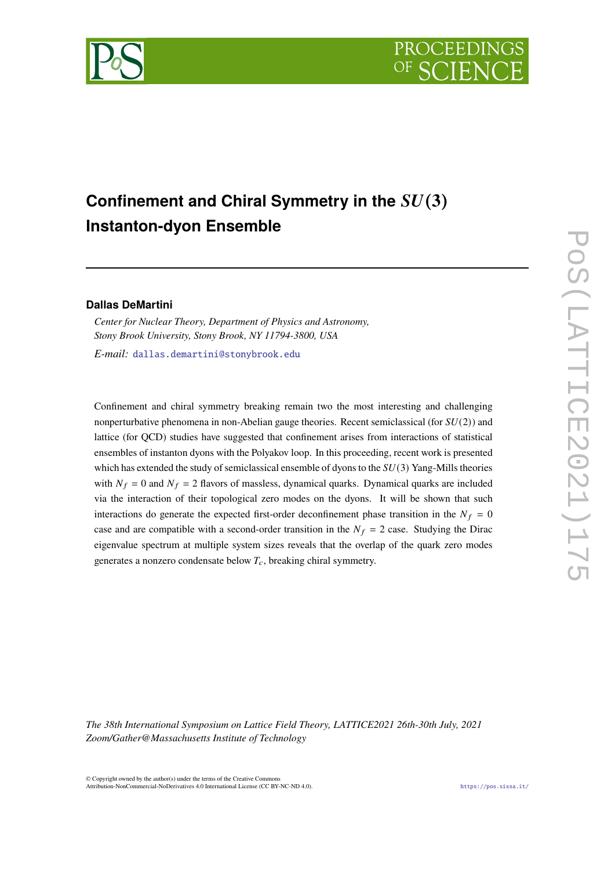



# Confinement and Chiral Symmetry in the  $SU(3)$ **Instanton-dyon Ensemble**

### **Dallas DeMartini**

*Center for Nuclear Theory, Department of Physics and Astronomy, Stony Brook University, Stony Brook, NY 11794-3800, USA*

*E-mail:* [dallas.demartini@stonybrook.edu](mailto:dallas.demartini@stonybrook.edu)

Confinement and chiral symmetry breaking remain two the most interesting and challenging nonperturbative phenomena in non-Abelian gauge theories. Recent semiclassical (for  $SU(2)$ ) and lattice (for QCD) studies have suggested that confinement arises from interactions of statistical ensembles of instanton dyons with the Polyakov loop. In this proceeding, recent work is presented which has extended the study of semiclassical ensemble of dyons to the  $SU(3)$  Yang-Mills theories with  $N_f = 0$  and  $N_f = 2$  flavors of massless, dynamical quarks. Dynamical quarks are included via the interaction of their topological zero modes on the dyons. It will be shown that such interactions do generate the expected first-order deconfinement phase transition in the  $N_f = 0$ case and are compatible with a second-order transition in the  $N_f = 2$  case. Studying the Dirac eigenvalue spectrum at multiple system sizes reveals that the overlap of the quark zero modes generates a nonzero condensate below  $T_c$ , breaking chiral symmetry.

*The 38th International Symposium on Lattice Field Theory, LATTICE2021 26th-30th July, 2021 Zoom/Gather@Massachusetts Institute of Technology*

© Copyright owned by the author(s) under the terms of the Creative Commons Attribution-NonCommercial-NoDerivatives 4.0 International License (CC BY-NC-ND 4.0). <https://pos.sissa.it/>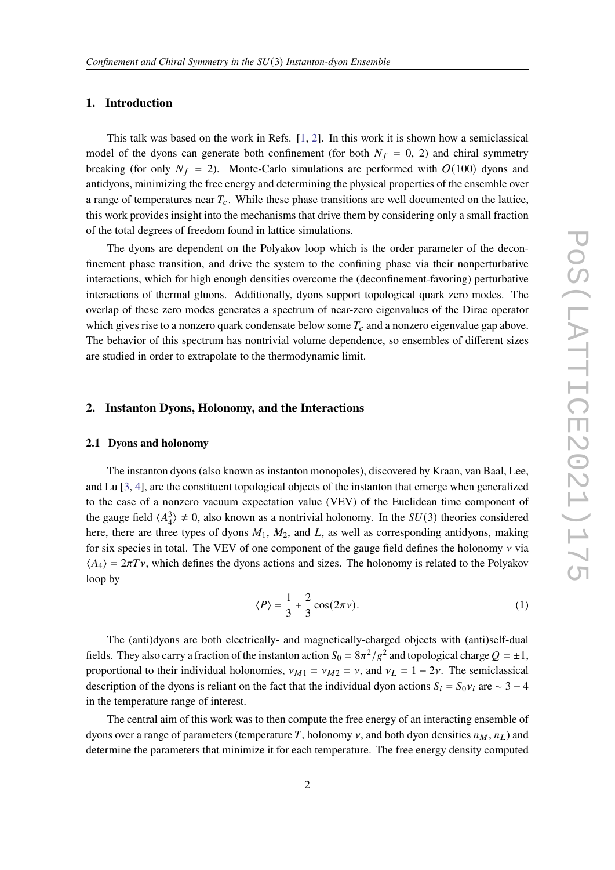## **1. Introduction**

This talk was based on the work in Refs. [\[1,](#page-8-0) [2\]](#page-8-1). In this work it is shown how a semiclassical model of the dyons can generate both confinement (for both  $N_f = 0, 2$ ) and chiral symmetry breaking (for only  $N_f = 2$ ). Monte-Carlo simulations are performed with  $O(100)$  dyons and antidyons, minimizing the free energy and determining the physical properties of the ensemble over a range of temperatures near  $T_c$ . While these phase transitions are well documented on the lattice, this work provides insight into the mechanisms that drive them by considering only a small fraction of the total degrees of freedom found in lattice simulations.

The dyons are dependent on the Polyakov loop which is the order parameter of the deconfinement phase transition, and drive the system to the confining phase via their nonperturbative interactions, which for high enough densities overcome the (deconfinement-favoring) perturbative interactions of thermal gluons. Additionally, dyons support topological quark zero modes. The overlap of these zero modes generates a spectrum of near-zero eigenvalues of the Dirac operator which gives rise to a nonzero quark condensate below some  $T_c$  and a nonzero eigenvalue gap above. The behavior of this spectrum has nontrivial volume dependence, so ensembles of different sizes are studied in order to extrapolate to the thermodynamic limit.

## **2. Instanton Dyons, Holonomy, and the Interactions**

#### **2.1 Dyons and holonomy**

The instanton dyons (also known as instanton monopoles), discovered by Kraan, van Baal, Lee, and Lu [\[3,](#page-8-2) [4\]](#page-8-3), are the constituent topological objects of the instanton that emerge when generalized to the case of a nonzero vacuum expectation value (VEV) of the Euclidean time component of the gauge field  $\langle A_4^3 \rangle \neq 0$ , also known as a nontrivial holonomy. In the  $SU(3)$  theories considered here, there are three types of dyons  $M_1$ ,  $M_2$ , and L, as well as corresponding antidyons, making for six species in total. The VEV of one component of the gauge field defines the holonomy  $\nu$  via  $\langle A_4 \rangle = 2\pi T v$ , which defines the dyons actions and sizes. The holonomy is related to the Polyakov loop by

$$
\langle P \rangle = \frac{1}{3} + \frac{2}{3} \cos(2\pi \nu). \tag{1}
$$

The (anti)dyons are both electrically- and magnetically-charged objects with (anti)self-dual fields. They also carry a fraction of the instanton action  $S_0 = 8\pi^2/g^2$  and topological charge  $Q = \pm 1$ , proportional to their individual holonomies,  $\nu_{M1} = \nu_{M2} = \nu$ , and  $\nu_L = 1 - 2\nu$ . The semiclassical description of the dyons is reliant on the fact that the individual dyon actions  $S_i = S_0 v_i$  are ∼ 3 − 4 in the temperature range of interest.

The central aim of this work was to then compute the free energy of an interacting ensemble of dyons over a range of parameters (temperature T, holonomy  $\nu$ , and both dyon densities  $n_M$ ,  $n_L$ ) and determine the parameters that minimize it for each temperature. The free energy density computed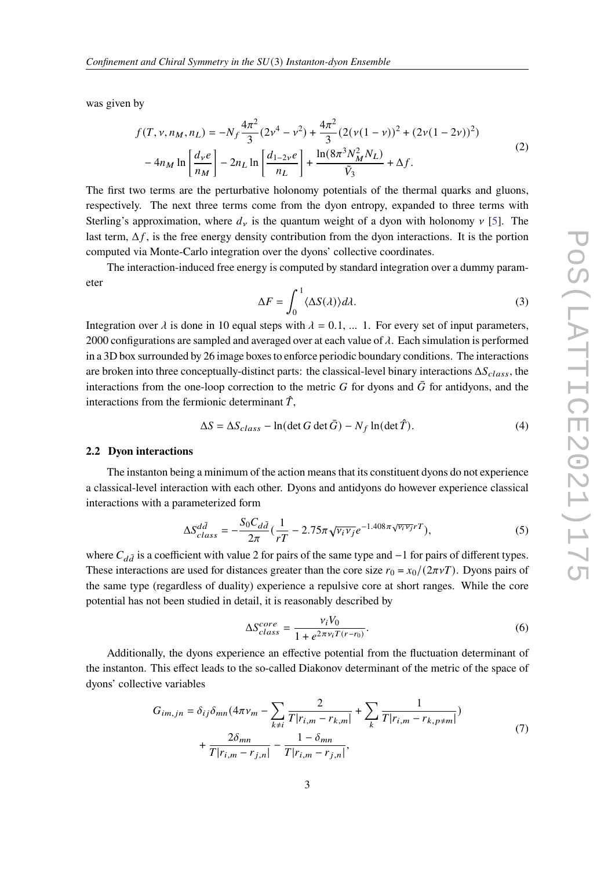was given by

$$
f(T, \nu, n_M, n_L) = -N_f \frac{4\pi^2}{3} (2\nu^4 - \nu^2) + \frac{4\pi^2}{3} (2(\nu(1 - \nu))^2 + (2\nu(1 - 2\nu))^2)
$$
  

$$
-4n_M \ln \left[ \frac{d_\nu e}{n_M} \right] - 2n_L \ln \left[ \frac{d_{1-2\nu}e}{n_L} \right] + \frac{\ln(8\pi^3 N_M^2 N_L)}{\tilde{V}_3} + \Delta f.
$$
 (2)

The first two terms are the perturbative holonomy potentials of the thermal quarks and gluons, respectively. The next three terms come from the dyon entropy, expanded to three terms with Sterling's approximation, where  $d<sub>v</sub>$  is the quantum weight of a dyon with holonomy  $v$  [\[5\]](#page-8-4). The last term,  $\Delta f$ , is the free energy density contribution from the dyon interactions. It is the portion computed via Monte-Carlo integration over the dyons' collective coordinates.

The interaction-induced free energy is computed by standard integration over a dummy parameter

$$
\Delta F = \int_0^1 \langle \Delta S(\lambda) \rangle d\lambda. \tag{3}
$$

Integration over  $\lambda$  is done in 10 equal steps with  $\lambda = 0.1, ...$  1. For every set of input parameters, 2000 configurations are sampled and averaged over at each value of  $\lambda$ . Each simulation is performed in a 3D box surrounded by 26 image boxes to enforce periodic boundary conditions. The interactions are broken into three conceptually-distinct parts: the classical-level binary interactions  $\Delta S_{class}$ , the interactions from the one-loop correction to the metric G for dyons and  $\bar{G}$  for antidyons, and the interactions from the fermionic determinant  $\hat{T}$ ,

$$
\Delta S = \Delta S_{class} - \ln(\det G \det \bar{G}) - N_f \ln(\det \hat{T}). \tag{4}
$$

## **2.2 Dyon interactions**

The instanton being a minimum of the action means that its constituent dyons do not experience a classical-level interaction with each other. Dyons and antidyons do however experience classical interactions with a parameterized form

$$
\Delta S_{class}^{d\bar{d}} = -\frac{S_0 C_{d\bar{d}}}{2\pi} \left(\frac{1}{rT} - 2.75\pi \sqrt{\nu_i \nu_j} e^{-1.408\pi \sqrt{\nu_i \nu_j} rT}\right),\tag{5}
$$

where  $C_{d\bar{d}}$  is a coefficient with value 2 for pairs of the same type and  $-1$  for pairs of different types. These interactions are used for distances greater than the core size  $r_0 = x_0/(2\pi\nu T)$ . Dyons pairs of the same type (regardless of duality) experience a repulsive core at short ranges. While the core potential has not been studied in detail, it is reasonably described by

$$
\Delta S_{class}^{core} = \frac{v_i V_0}{1 + e^{2\pi v_i T(r - r_0)}}.
$$
\n<sup>(6)</sup>

Additionally, the dyons experience an effective potential from the fluctuation determinant of the instanton. This effect leads to the so-called Diakonov determinant of the metric of the space of dyons' collective variables

$$
G_{im,jn} = \delta_{ij}\delta_{mn}(4\pi\nu_m - \sum_{k\neq i} \frac{2}{T|r_{i,m} - r_{k,m}|} + \sum_k \frac{1}{T|r_{i,m} - r_{k,p\neq m}|}) + \frac{2\delta_{mn}}{T|r_{i,m} - r_{j,n}|} - \frac{1 - \delta_{mn}}{T|r_{i,m} - r_{j,n}|},
$$
\n(7)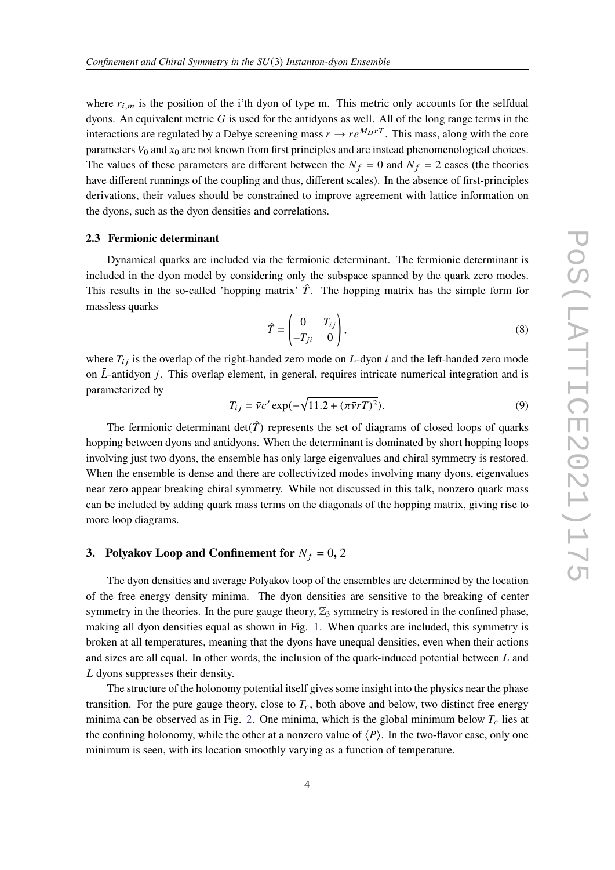where  $r_{i,m}$  is the position of the i'th dyon of type m. This metric only accounts for the selfdual dyons. An equivalent metric  $\bar{G}$  is used for the antidyons as well. All of the long range terms in the interactions are regulated by a Debye screening mass  $r \to r e^{M_D rT}$ . This mass, along with the core parameters  $V_0$  and  $x_0$  are not known from first principles and are instead phenomenological choices. The values of these parameters are different between the  $N_f = 0$  and  $N_f = 2$  cases (the theories have different runnings of the coupling and thus, different scales). In the absence of first-principles derivations, their values should be constrained to improve agreement with lattice information on the dyons, such as the dyon densities and correlations.

#### **2.3 Fermionic determinant**

Dynamical quarks are included via the fermionic determinant. The fermionic determinant is included in the dyon model by considering only the subspace spanned by the quark zero modes. This results in the so-called 'hopping matrix'  $\hat{T}$ . The hopping matrix has the simple form for massless quarks

$$
\hat{T} = \begin{pmatrix} 0 & T_{ij} \\ -T_{ji} & 0 \end{pmatrix},\tag{8}
$$

where  $T_{ij}$  is the overlap of the right-handed zero mode on L-dyon *i* and the left-handed zero mode on  $\bar{L}$ -antidyon *j*. This overlap element, in general, requires intricate numerical integration and is parameterized by

$$
T_{ij} = \bar{v}c' \exp(-\sqrt{11.2 + (\pi \bar{v}r)^2}).
$$
\n(9)

The fermionic determinant  $det(\hat{T})$  represents the set of diagrams of closed loops of quarks hopping between dyons and antidyons. When the determinant is dominated by short hopping loops involving just two dyons, the ensemble has only large eigenvalues and chiral symmetry is restored. When the ensemble is dense and there are collectivized modes involving many dyons, eigenvalues near zero appear breaking chiral symmetry. While not discussed in this talk, nonzero quark mass can be included by adding quark mass terms on the diagonals of the hopping matrix, giving rise to more loop diagrams.

## **3. Polyakov Loop and Confinement for**  $N_f = 0$ , 2

The dyon densities and average Polyakov loop of the ensembles are determined by the location of the free energy density minima. The dyon densities are sensitive to the breaking of center symmetry in the theories. In the pure gauge theory,  $\mathbb{Z}_3$  symmetry is restored in the confined phase, making all dyon densities equal as shown in Fig. [1.](#page-4-0) When quarks are included, this symmetry is broken at all temperatures, meaning that the dyons have unequal densities, even when their actions and sizes are all equal. In other words, the inclusion of the quark-induced potential between  $L$  and  $\overline{L}$  dyons suppresses their density.

The structure of the holonomy potential itself gives some insight into the physics near the phase transition. For the pure gauge theory, close to  $T_c$ , both above and below, two distinct free energy minima can be observed as in Fig. [2.](#page-4-1) One minima, which is the global minimum below  $T_c$  lies at the confining holonomy, while the other at a nonzero value of  $\langle P \rangle$ . In the two-flavor case, only one minimum is seen, with its location smoothly varying as a function of temperature.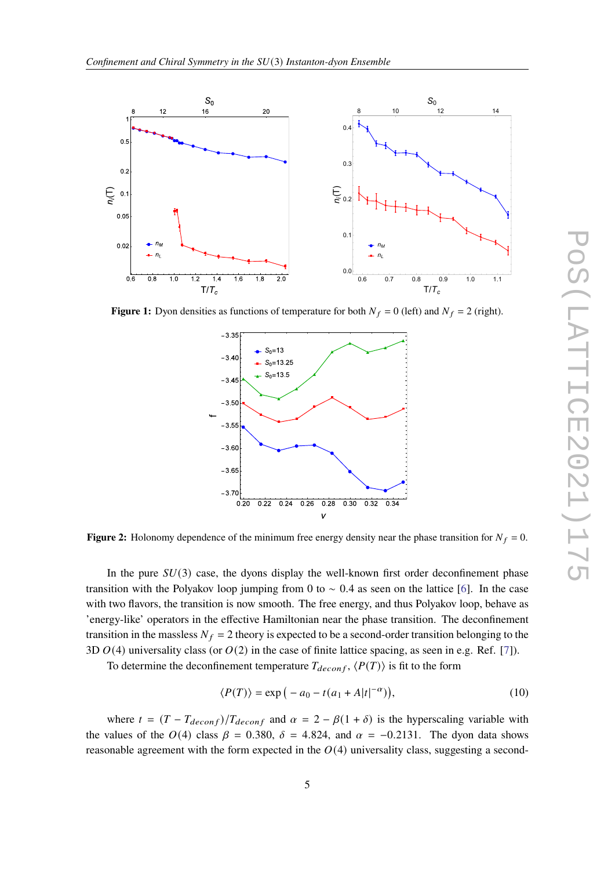<span id="page-4-0"></span>

<span id="page-4-1"></span>**Figure 1:** Dyon densities as functions of temperature for both  $N_f = 0$  (left) and  $N_f = 2$  (right).



**Figure 2:** Holonomy dependence of the minimum free energy density near the phase transition for  $N_f = 0$ .

In the pure  $SU(3)$  case, the dyons display the well-known first order deconfinement phase transition with the Polyakov loop jumping from 0 to  $\sim$  0.4 as seen on the lattice [\[6\]](#page-8-5). In the case with two flavors, the transition is now smooth. The free energy, and thus Polyakov loop, behave as 'energy-like' operators in the effective Hamiltonian near the phase transition. The deconfinement transition in the massless  $N_f = 2$  theory is expected to be a second-order transition belonging to the 3D  $O(4)$  universality class (or  $O(2)$  in the case of finite lattice spacing, as seen in e.g. Ref. [\[7\]](#page-8-6)).

To determine the deconfinement temperature  $T_{deconf}$ ,  $\langle P(T) \rangle$  is fit to the form

$$
\langle P(T) \rangle = \exp\left(-a_0 - t(a_1 + A|t|^{-\alpha})\right),\tag{10}
$$

where  $t = (T - T_{deconf})/T_{deconf}$  and  $\alpha = 2 - \beta(1 + \delta)$  is the hyperscaling variable with the values of the  $O(4)$  class  $\beta = 0.380$ ,  $\delta = 4.824$ , and  $\alpha = -0.2131$ . The dyon data shows reasonable agreement with the form expected in the  $O(4)$  universality class, suggesting a second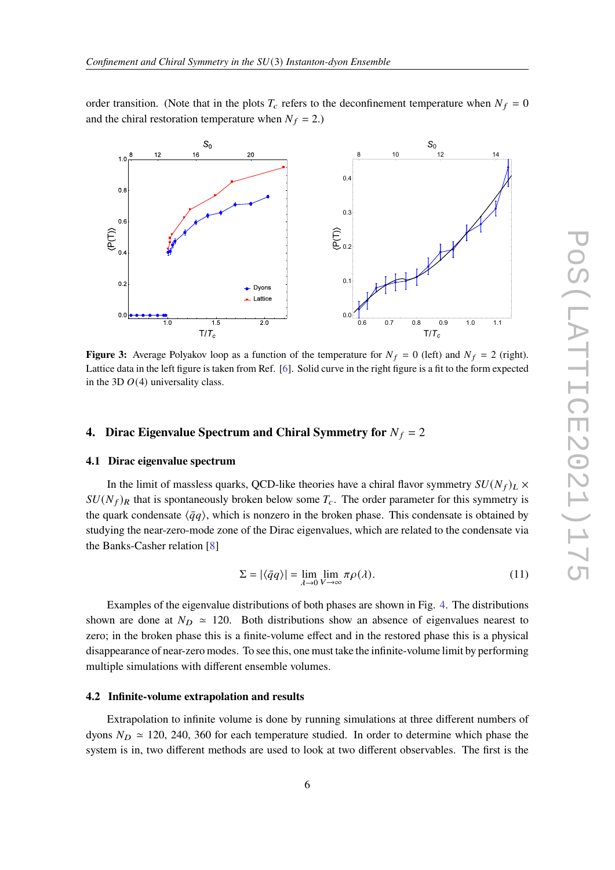order transition. (Note that in the plots  $T_c$  refers to the deconfinement temperature when  $N_f = 0$ and the chiral restoration temperature when  $N_f = 2$ .)



**Figure 3:** Average Polyakov loop as a function of the temperature for  $N_f = 0$  (left) and  $N_f = 2$  (right). Lattice data in the left figure is taken from Ref. [\[6\]](#page-8-5). Solid curve in the right figure is a fit to the form expected in the 3D  $O(4)$  universality class.

## **4. Dirac Eigenvalue Spectrum and Chiral Symmetry for**  $N_f = 2$

#### **4.1 Dirac eigenvalue spectrum**

In the limit of massless quarks, QCD-like theories have a chiral flavor symmetry  $SU(N_f)_L \times$  $SU(N_f)_R$  that is spontaneously broken below some  $T_c$ . The order parameter for this symmetry is the quark condensate  $\langle \bar{q}q \rangle$ , which is nonzero in the broken phase. This condensate is obtained by studying the near-zero-mode zone of the Dirac eigenvalues, which are related to the condensate via the Banks-Casher relation [\[8\]](#page-8-7)

$$
\Sigma = |\langle \bar{q}q \rangle| = \lim_{\lambda \to 0} \lim_{V \to \infty} \pi \rho(\lambda). \tag{11}
$$

Examples of the eigenvalue distributions of both phases are shown in Fig. [4.](#page-6-0) The distributions shown are done at  $N_D \approx 120$ . Both distributions show an absence of eigenvalues nearest to zero; in the broken phase this is a finite-volume effect and in the restored phase this is a physical disappearance of near-zero modes. To see this, one must take the infinite-volume limit by performing multiple simulations with different ensemble volumes.

## **4.2 Infinite-volume extrapolation and results**

Extrapolation to infinite volume is done by running simulations at three different numbers of dyons  $N_D \approx 120$ , 240, 360 for each temperature studied. In order to determine which phase the system is in, two different methods are used to look at two different observables. The first is the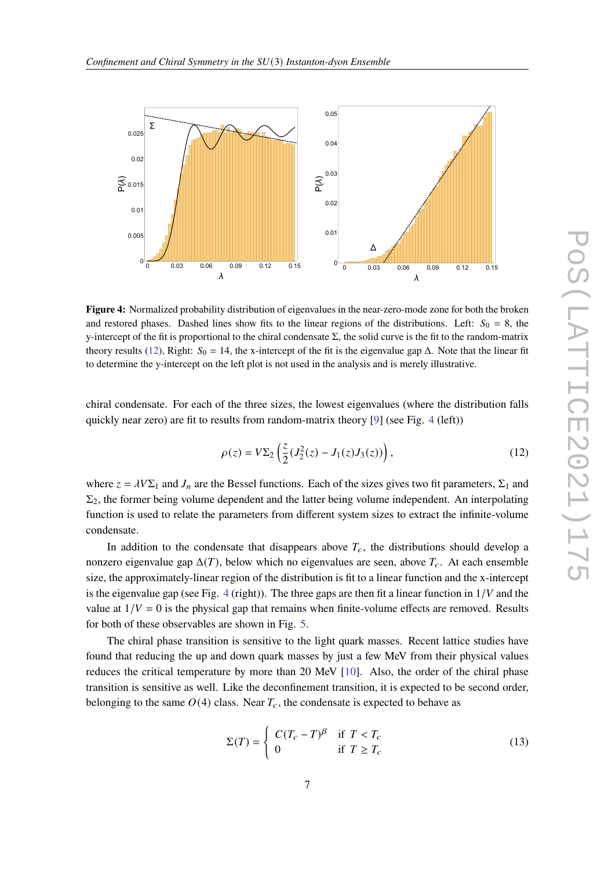<span id="page-6-0"></span>

**Figure 4:** Normalized probability distribution of eigenvalues in the near-zero-mode zone for both the broken and restored phases. Dashed lines show fits to the linear regions of the distributions. Left:  $S_0 = 8$ , the y-intercept of the fit is proportional to the chiral condensate  $\Sigma$ , the solid curve is the fit to the random-matrix theory results [\(12\)](#page-6-1), Right:  $S_0 = 14$ , the x-intercept of the fit is the eigenvalue gap  $\Delta$ . Note that the linear fit to determine the y-intercept on the left plot is not used in the analysis and is merely illustrative.

chiral condensate. For each of the three sizes, the lowest eigenvalues (where the distribution falls quickly near zero) are fit to results from random-matrix theory  $[9]$  (see Fig. [4](#page-6-0) (left))

<span id="page-6-1"></span>
$$
\rho(z) = V\Sigma_2 \left( \frac{z}{2} (J_2^2(z) - J_1(z) J_3(z)) \right),\tag{12}
$$

where  $z = \lambda V \Sigma_1$  and  $J_n$  are the Bessel functions. Each of the sizes gives two fit parameters,  $\Sigma_1$  and  $\Sigma_2$ , the former being volume dependent and the latter being volume independent. An interpolating function is used to relate the parameters from different system sizes to extract the infinite-volume condensate.

In addition to the condensate that disappears above  $T_c$ , the distributions should develop a nonzero eigenvalue gap  $\Delta(T)$ , below which no eigenvalues are seen, above  $T_c$ . At each ensemble size, the approximately-linear region of the distribution is fit to a linear function and the x-intercept is the eigenvalue gap (see Fig. [4](#page-6-0) (right)). The three gaps are then fit a linear function in  $1/V$  and the value at  $1/V = 0$  is the physical gap that remains when finite-volume effects are removed. Results for both of these observables are shown in Fig. [5.](#page-7-0)

The chiral phase transition is sensitive to the light quark masses. Recent lattice studies have found that reducing the up and down quark masses by just a few MeV from their physical values reduces the critical temperature by more than 20 MeV [\[10\]](#page-8-9). Also, the order of the chiral phase transition is sensitive as well. Like the deconfinement transition, it is expected to be second order, belonging to the same  $O(4)$  class. Near  $T_c$ , the condensate is expected to behave as

<span id="page-6-2"></span>
$$
\Sigma(T) = \begin{cases}\nC(T_c - T)^\beta & \text{if } T < T_c \\
0 & \text{if } T \ge T_c\n\end{cases}
$$
\n(13)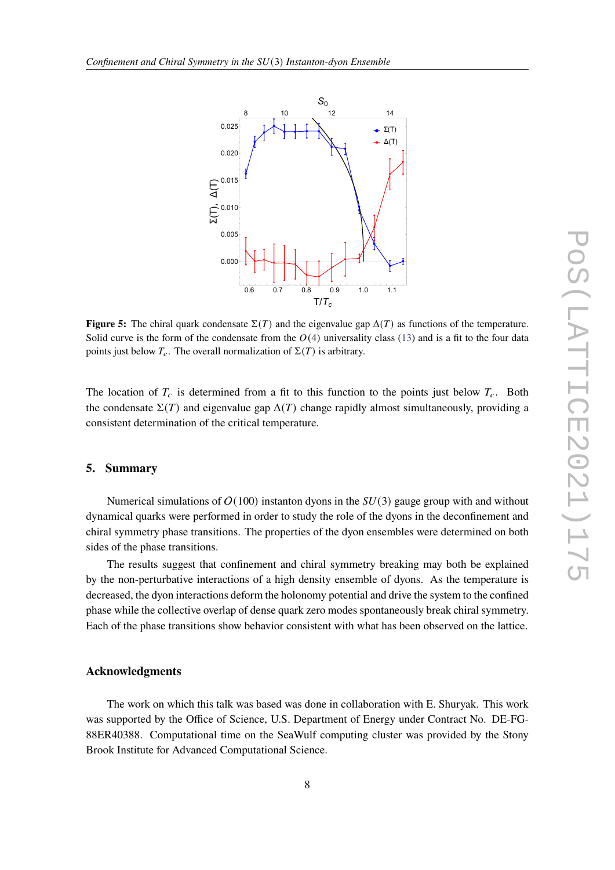<span id="page-7-0"></span>

**Figure 5:** The chiral quark condensate  $\Sigma(T)$  and the eigenvalue gap  $\Delta(T)$  as functions of the temperature. Solid curve is the form of the condensate from the  $O(4)$  universality class [\(13\)](#page-6-2) and is a fit to the four data points just below  $T_c$ . The overall normalization of  $\Sigma(T)$  is arbitrary.

The location of  $T_c$  is determined from a fit to this function to the points just below  $T_c$ . Both the condensate  $\Sigma(T)$  and eigenvalue gap  $\Delta(T)$  change rapidly almost simultaneously, providing a consistent determination of the critical temperature.

## **5. Summary**

Numerical simulations of  $O(100)$  instanton dyons in the  $SU(3)$  gauge group with and without dynamical quarks were performed in order to study the role of the dyons in the deconfinement and chiral symmetry phase transitions. The properties of the dyon ensembles were determined on both sides of the phase transitions.

The results suggest that confinement and chiral symmetry breaking may both be explained by the non-perturbative interactions of a high density ensemble of dyons. As the temperature is decreased, the dyon interactions deform the holonomy potential and drive the system to the confined phase while the collective overlap of dense quark zero modes spontaneously break chiral symmetry. Each of the phase transitions show behavior consistent with what has been observed on the lattice.

## **Acknowledgments**

The work on which this talk was based was done in collaboration with E. Shuryak. This work was supported by the Office of Science, U.S. Department of Energy under Contract No. DE-FG-88ER40388. Computational time on the SeaWulf computing cluster was provided by the Stony Brook Institute for Advanced Computational Science.